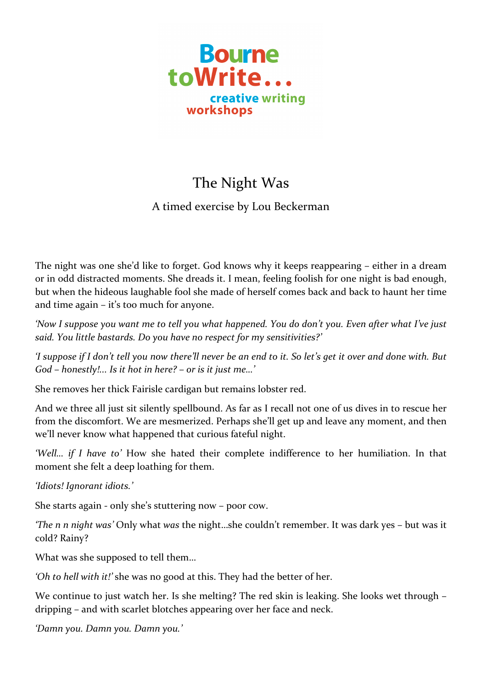

## The Night Was

## A timed exercise by Lou Beckerman

The night was one she'd like to forget. God knows why it keeps reappearing – either in a dream or in odd distracted moments. She dreads it. I mean, feeling foolish for one night is bad enough, but when the hideous laughable fool she made of herself comes back and back to haunt her time and time  $again - it's too much for anyone.$ 

'Now I suppose you want me to tell you what happened. You do don't you. Even after what I've just said. You little bastards. Do you have no respect for my sensitivities?'

*'I* suppose if I don't tell you now there'll never be an end to it. So let's get it over and done with. But *God* – *honestly!... Is it hot in here?* – *or is it just me...*'

She removes her thick Fairisle cardigan but remains lobster red.

And we three all just sit silently spellbound. As far as I recall not one of us dives in to rescue her from the discomfort. We are mesmerized. Perhaps she'll get up and leave any moment, and then we'll never know what happened that curious fateful night.

'Well... *if* I have to' How she hated their complete indifference to her humiliation. In that moment she felt a deep loathing for them.

*'Idiots! Ignorant idiots.'* 

She starts again - only she's stuttering now – poor cow.

*'The n n night* was' Only what was the night...she couldn't remember. It was dark yes – but was it cold? Rainy?

What was she supposed to tell them...

'Oh to hell with it!' she was no good at this. They had the better of her.

We continue to just watch her. Is she melting? The red skin is leaking. She looks wet through – dripping – and with scarlet blotches appearing over her face and neck.

*'Damn you. Damn you. Damn you.'*